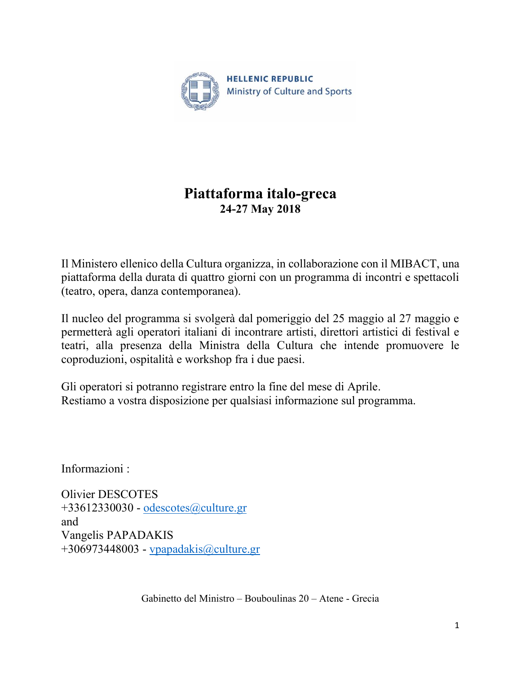

# **Piattaforma italo-greca 24-27 May 2018**

Il Ministero ellenico della Cultura organizza, in collaborazione con il MIBACT, una piattaforma della durata di quattro giorni con un programma di incontri e spettacoli (teatro, opera, danza contemporanea).

Il nucleo del programma si svolgerà dal pomeriggio del 25 maggio al 27 maggio e permetterà agli operatori italiani di incontrare artisti, direttori artistici di festival e teatri, alla presenza della Ministra della Cultura che intende promuovere le coproduzioni, ospitalità e workshop fra i due paesi.

Gli operatori si potranno registrare entro la fine del mese di Aprile. Restiamo a vostra disposizione per qualsiasi informazione sul programma.

Informazioni :

Olivier DESCOTES  $+33612330030 - \text{odescotes}(Q)\text{culture.gr}$ and Vangelis PAPADAKIS +306973448003 - [vpapadakis@culture.gr](mailto:vpapadakis@culture.gr)

Gabinetto del Ministro – Bouboulinas 20 – Atene - Grecia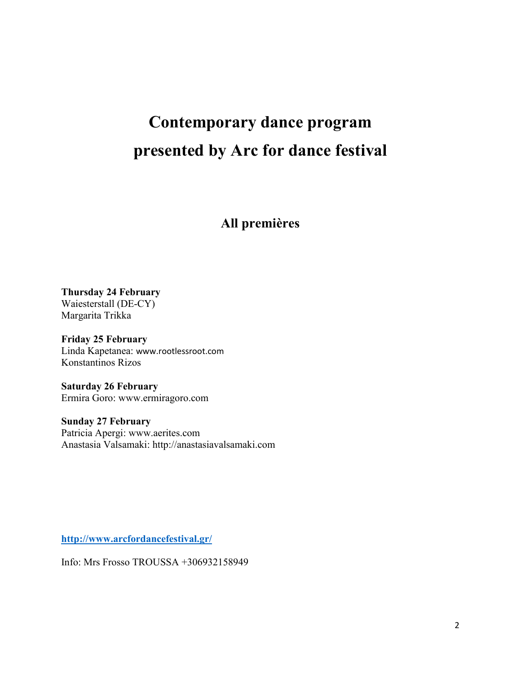# **Contemporary dance program presented by Arc for dance festival**

**All premières**

**Thursday 24 February** Waiesterstall (DE-CY) Margarita Trikka

**Friday 25 February** Linda Kapetanea: www.rootlessroot.com Konstantinos Rizos

**Saturday 26 February** Ermira Goro: www.ermiragoro.com

**Sunday 27 February** Patricia Apergi: www.aerites.com Anastasia Valsamaki: http://anastasiavalsamaki.com

**<http://www.arcfordancefestival.gr/>**

Info: Mrs Frosso TROUSSA +306932158949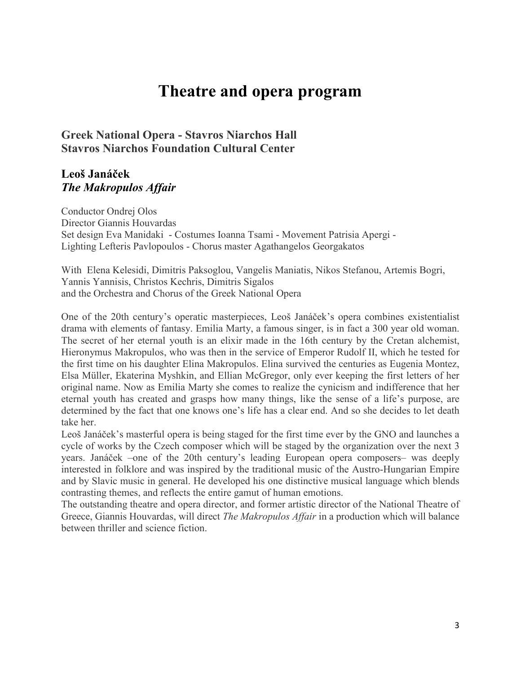# **Theatre and opera program**

# **Greek National Opera - Stavros Niarchos Hall Stavros Niarchos Foundation Cultural Center**

# **Leoš Janáček** *The Makropulos Affair*

Conductor Ondrej Olos Director Giannis Houvardas Set design Eva Manidaki - Costumes Ioanna Tsami - Movement Patrisia Apergi - Lighting Lefteris Pavlopoulos - Chorus master Agathangelos Georgakatos

With Elena Kelesidi, Dimitris Paksoglou, Vangelis Maniatis, Nikos Stefanou, Artemis Bogri, Yannis Yannisis, Christos Kechris, Dimitris Sigalos and the Orchestra and Chorus of the Greek National Opera

One of the 20th century's operatic masterpieces, Leoš Janáček's opera combines existentialist drama with elements of fantasy. Emilia Marty, a famous singer, is in fact a 300 year old woman. The secret of her eternal youth is an elixir made in the 16th century by the Cretan alchemist, Hieronymus Makropulos, who was then in the service of Emperor Rudolf II, which he tested for the first time on his daughter Elina Makropulos. Elina survived the centuries as Eugenia Montez, Elsa Müller, Ekaterina Myshkin, and Ellian McGregor, only ever keeping the first letters of her original name. Now as Emilia Marty she comes to realize the cynicism and indifference that her eternal youth has created and grasps how many things, like the sense of a life's purpose, are determined by the fact that one knows one's life has a clear end. And so she decides to let death take her.

Leoš Janáček's masterful opera is being staged for the first time ever by the GNO and launches a cycle of works by the Czech composer which will be staged by the organization over the next 3 years. Janáček –one of the 20th century's leading European opera composers– was deeply interested in folklore and was inspired by the traditional music of the Austro-Hungarian Empire and by Slavic music in general. He developed his one distinctive musical language which blends contrasting themes, and reflects the entire gamut of human emotions.

The outstanding theatre and opera director, and former artistic director of the National Theatre of Greece, Giannis Houvardas, will direct *The Makropulos Affair* in a production which will balance between thriller and science fiction.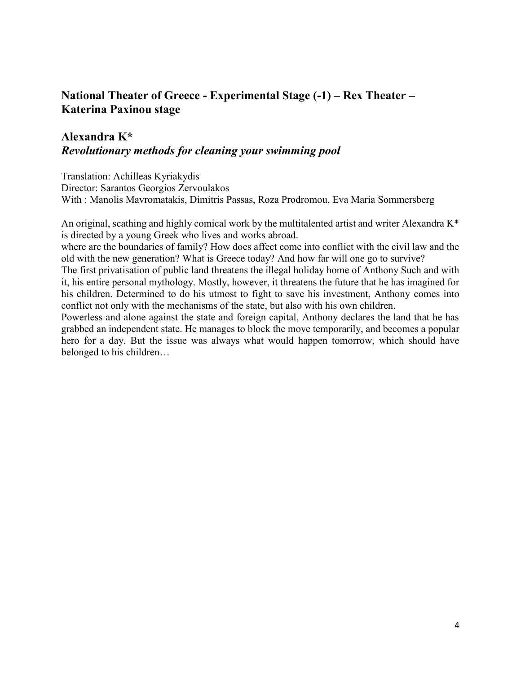# **National Theater of Greece - Experimental Stage (-1) – Rex Theater – Katerina Paxinou stage**

# **Alexandra K\*** *Revolutionary methods for cleaning your swimming pool*

Translation: Achilleas Kyriakydis Director: Sarantos Georgios Zervoulakos With : Manolis Mavromatakis, Dimitris Passas, Roza Prodromou, Eva Maria Sommersberg

An original, scathing and highly comical work by the multitalented artist and writer Alexandra K\* is directed by a young Greek who lives and works abroad.

where are the boundaries of family? How does affect come into conflict with the civil law and the old with the new generation? What is Greece today? And how far will one go to survive?

The first privatisation of public land threatens the illegal holiday home of Anthony Such and with it, his entire personal mythology. Mostly, however, it threatens the future that he has imagined for his children. Determined to do his utmost to fight to save his investment, Anthony comes into conflict not only with the mechanisms of the state, but also with his own children.

Powerless and alone against the state and foreign capital, Anthony declares the land that he has grabbed an independent state. He manages to block the move temporarily, and becomes a popular hero for a day. But the issue was always what would happen tomorrow, which should have belonged to his children…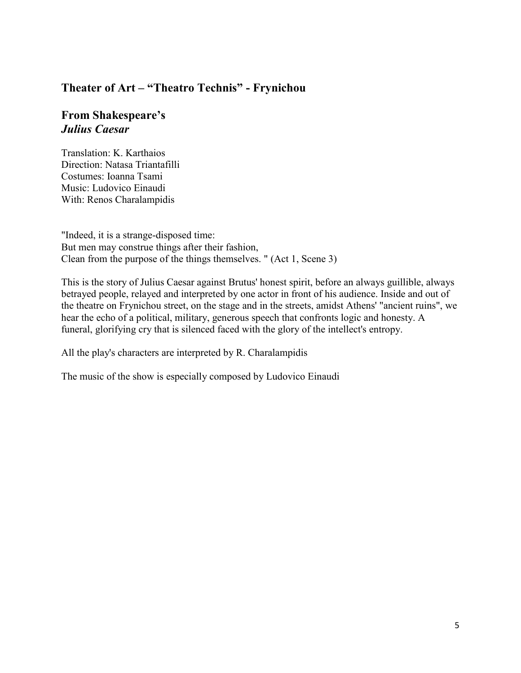# **Theater of Art – "Theatro Technis" - Frynichou**

#### **From Shakespeare's** *Julius Caesar*

Translation: K. Karthaios Direction: Natasa Triantafilli Costumes: Ioanna Tsami Music: Ludovico Einaudi With: Renos Charalampidis

"Indeed, it is a strange-disposed time: But men may construe things after their fashion, Clean from the purpose of the things themselves. " (Act 1, Scene 3)

This is the story of Julius Caesar against Brutus' honest spirit, before an always guillible, always betrayed people, relayed and interpreted by one actor in front of his audience. Inside and out of the theatre on Frynichou street, on the stage and in the streets, amidst Athens' "ancient ruins", we hear the echo of a political, military, generous speech that confronts logic and honesty. A funeral, glorifying cry that is silenced faced with the glory of the intellect's entropy.

All the play's characters are interpreted by R. Charalampidis

The music of the show is especially composed by Ludovico Einaudi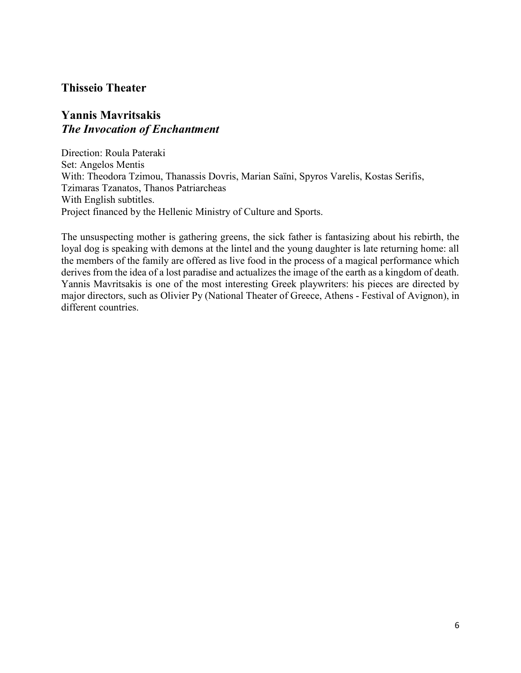# **Thisseio Theater**

# **Yannis Mavritsakis** *The Invocation of Enchantment*

Direction: Roula Pateraki Set: Angelos Mentis With: Theodora Tzimou, Thanassis Dovris, Marian Saïni, Spyros Varelis, Kostas Serifis, Tzimaras Tzanatos, Thanos Patriarcheas With English subtitles. Project financed by the Hellenic Ministry of Culture and Sports.

The unsuspecting mother is gathering greens, the sick father is fantasizing about his rebirth, the loyal dog is speaking with demons at the lintel and the young daughter is late returning home: all the members of the family are offered as live food in the process of a magical performance which derives from the idea of a lost paradise and actualizes the image of the earth as a kingdom of death. Yannis Mavritsakis is one of the most interesting Greek playwriters: his pieces are directed by major directors, such as Olivier Py (National Theater of Greece, Athens - Festival of Avignon), in different countries.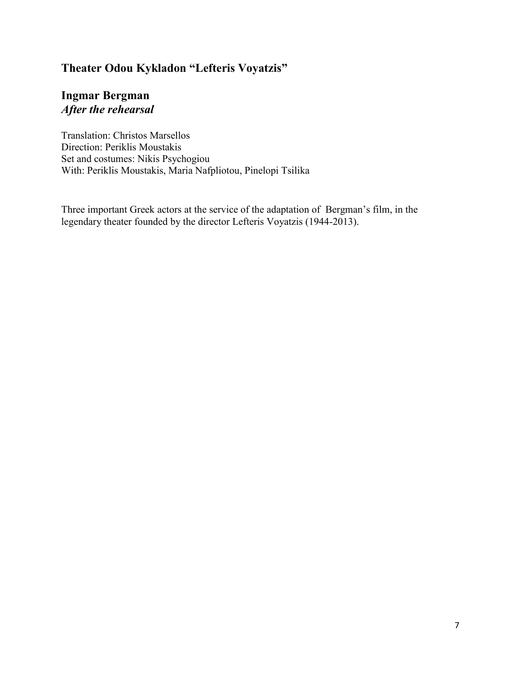# **Theater Odou Kykladon "Lefteris Voyatzis"**

# **Ingmar Bergman** *After the rehearsal*

Translation: Christos Marsellos Direction: Periklis Moustakis Set and costumes: Nikis Psychogiou With: Periklis Moustakis, Maria Nafpliotou, Pinelopi Tsilika

Three important Greek actors at the service of the adaptation of Bergman's film, in the legendary theater founded by the director Lefteris Voyatzis (1944-2013).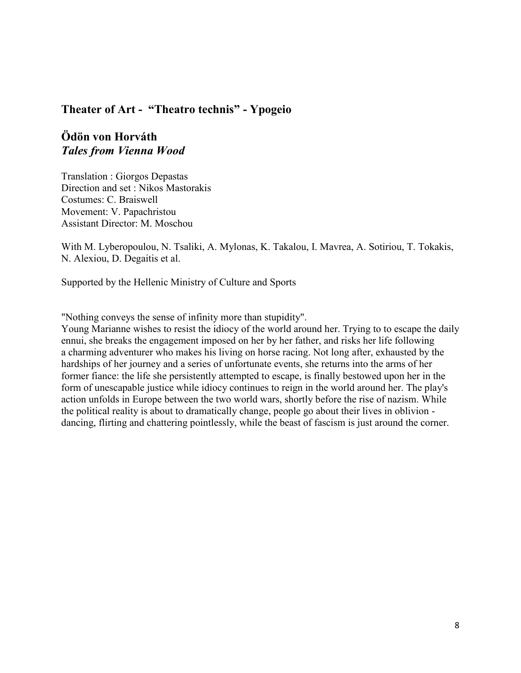#### **Theater of Art - "Theatro technis" - Ypogeio**

# **Ödön von Horváth** *Tales from Vienna Wood*

Translation : Giorgos Depastas Direction and set : Nikos Mastorakis Costumes: C. Braiswell Movement: V. Papachristou Assistant Director: M. Moschou

With M. Lyberopoulou, N. Tsaliki, A. Mylonas, K. Takalou, I. Mavrea, A. Sotiriou, T. Tokakis, N. Alexiou, D. Degaitis et al.

Supported by the Hellenic Ministry of Culture and Sports

"Nothing conveys the sense of infinity more than stupidity".

Young Marianne wishes to resist the idiocy of the world around her. Trying to to escape the daily ennui, she breaks the engagement imposed on her by her father, and risks her life following a charming adventurer who makes his living on horse racing. Not long after, exhausted by the hardships of her journey and a series of unfortunate events, she returns into the arms of her former fiance: the life she persistently attempted to escape, is finally bestowed upon her in the form of unescapable justice while idiocy continues to reign in the world around her. The play's action unfolds in Europe between the two world wars, shortly before the rise of nazism. While the political reality is about to dramatically change, people go about their lives in oblivion dancing, flirting and chattering pointlessly, while the beast of fascism is just around the corner.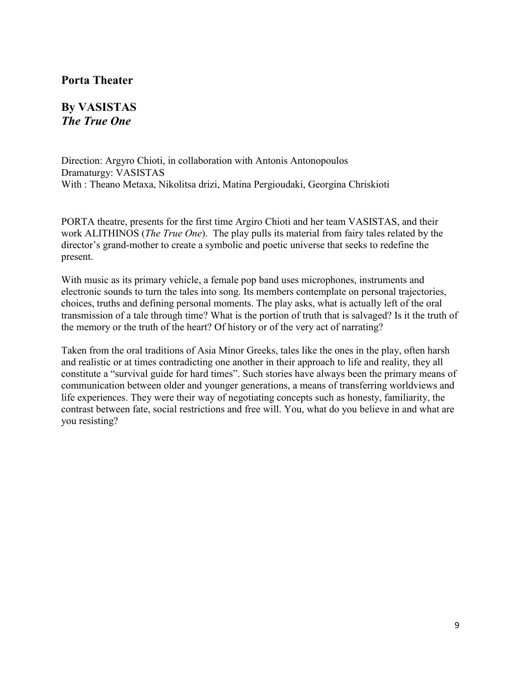#### **Porta Theater**

#### **By VASISTAS** *The True One*

Direction: Argyro Chioti, in collaboration with Antonis Antonopoulos Dramaturgy: VASISTAS With : Theano Metaxa, Nikolitsa drizi, Matina Pergioudaki, Georgina Chriskioti

PORTA theatre, presents for the first time Argiro Chioti and her team VASISTAS, and their work ALITHINOS (*The True One*). The play pulls its material from fairy tales related by the director's grand-mother to create a symbolic and poetic universe that seeks to redefine the present.

With music as its primary vehicle, a female pop band uses microphones, instruments and electronic sounds to turn the tales into song. Its members contemplate on personal trajectories, choices, truths and defining personal moments. The play asks, what is actually left of the oral transmission of a tale through time? What is the portion of truth that is salvaged? Is it the truth of the memory or the truth of the heart? Of history or of the very act of narrating?

Taken from the oral traditions of Asia Minor Greeks, tales like the ones in the play, often harsh and realistic or at times contradicting one another in their approach to life and reality, they all constitute a "survival guide for hard times". Such stories have always been the primary means of communication between older and younger generations, a means of transferring worldviews and life experiences. They were their way of negotiating concepts such as honesty, familiarity, the contrast between fate, social restrictions and free will. You, what do you believe in and what are you resisting?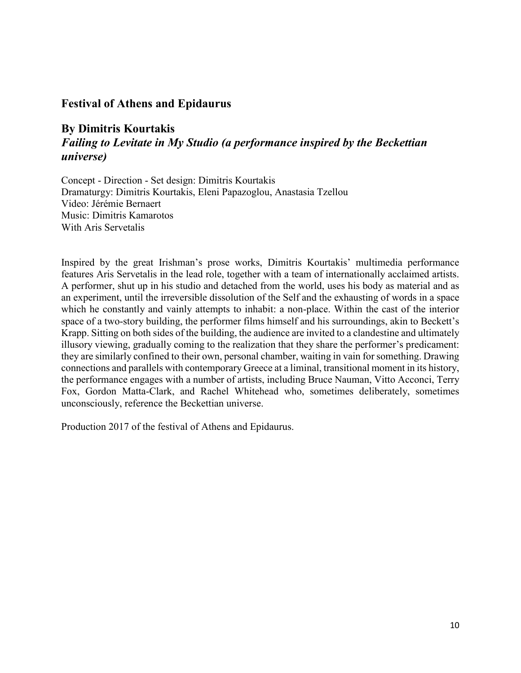#### **Festival of Athens and Epidaurus**

# **By Dimitris Kourtakis** *Failing to Levitate in My Studio (a performance inspired by the Beckettian universe)*

Concept - Direction - Set design: Dimitris Kourtakis Dramaturgy: Dimitris Kourtakis, Eleni Papazoglou, Anastasia Tzellou Video: Jérémie Bernaert Music: Dimitris Kamarotos With Aris Servetalis

Inspired by the great Irishman's prose works, Dimitris Kourtakis' multimedia performance features Aris Servetalis in the lead role, together with a team of internationally acclaimed artists. A performer, shut up in his studio and detached from the world, uses his body as material and as an experiment, until the irreversible dissolution of the Self and the exhausting of words in a space which he constantly and vainly attempts to inhabit: a non-place. Within the cast of the interior space of a two-story building, the performer films himself and his surroundings, akin to Beckett's Krapp. Sitting on both sides of the building, the audience are invited to a clandestine and ultimately illusory viewing, gradually coming to the realization that they share the performer's predicament: they are similarly confined to their own, personal chamber, waiting in vain for something. Drawing connections and parallels with contemporary Greece at a liminal, transitional moment in its history, the performance engages with a number of artists, including Bruce Nauman, Vitto Acconci, Terry Fox, Gordon Matta-Clark, and Rachel Whitehead who, sometimes deliberately, sometimes unconsciously, reference the Beckettian universe.

Production 2017 of the festival of Athens and Epidaurus.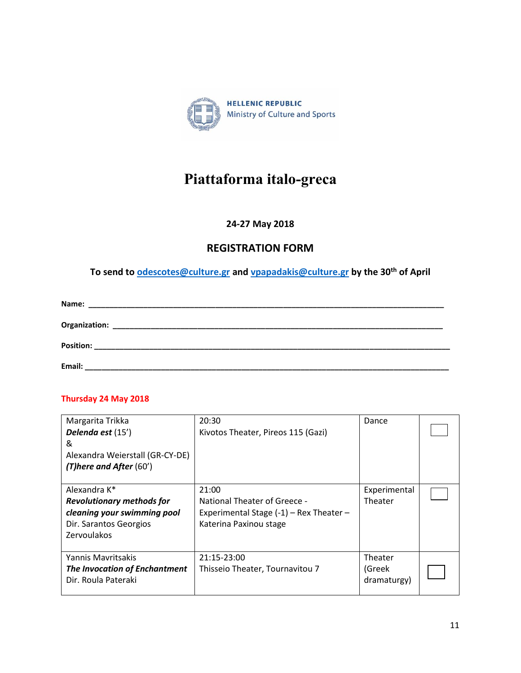

# **Piattaforma italo-greca**

#### **24-27 May 2018**

#### **REGISTRATION FORM**

**To send to [odescotes@culture.gr](mailto:odescotes@culture.gr) and [vpapadakis@culture.gr](mailto:vpapadakis@culture.gr) by the 30th of April**

| Name:            |  |  |  |
|------------------|--|--|--|
|                  |  |  |  |
| <b>Position:</b> |  |  |  |
| Email:           |  |  |  |

#### **Thursday 24 May 2018**

| Margarita Trikka<br>Delenda est (15')<br>&<br>Alexandra Weierstall (GR-CY-DE)<br>(T) here and After $(60')$              | 20:30<br>Kivotos Theater, Pireos 115 (Gazi)                                                                | Dance                            |  |
|--------------------------------------------------------------------------------------------------------------------------|------------------------------------------------------------------------------------------------------------|----------------------------------|--|
| Alexandra K*<br><b>Revolutionary methods for</b><br>cleaning your swimming pool<br>Dir. Sarantos Georgios<br>Zervoulakos | 21:00<br>National Theater of Greece -<br>Experimental Stage (-1) - Rex Theater -<br>Katerina Paxinou stage | Experimental<br><b>Theater</b>   |  |
| Yannis Mavritsakis<br>The Invocation of Enchantment<br>Dir. Roula Pateraki                                               | 21:15-23:00<br>Thisseio Theater, Tournavitou 7                                                             | Theater<br>(Greek<br>dramaturgy) |  |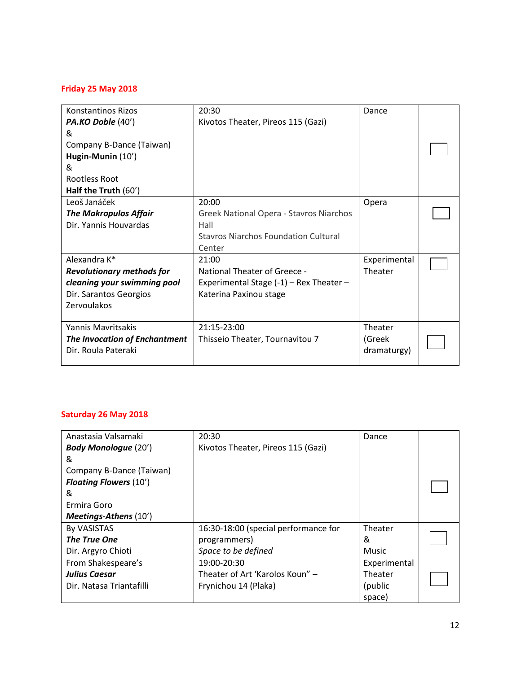#### **Friday 25 May 2018**

| Konstantinos Rizos               | 20:30                                     | Dance        |  |
|----------------------------------|-------------------------------------------|--------------|--|
| PA.KO Doble (40')                | Kivotos Theater, Pireos 115 (Gazi)        |              |  |
| &                                |                                           |              |  |
| Company B-Dance (Taiwan)         |                                           |              |  |
| Hugin-Munin (10')                |                                           |              |  |
| &                                |                                           |              |  |
| Rootless Root                    |                                           |              |  |
| Half the Truth (60')             |                                           |              |  |
| Leoš Janáček                     | 20:00                                     | Opera        |  |
| <b>The Makropulos Affair</b>     | Greek National Opera - Stavros Niarchos   |              |  |
| Dir. Yannis Houvardas            | Hall                                      |              |  |
|                                  | Stavros Niarchos Foundation Cultural      |              |  |
|                                  | Center                                    |              |  |
| Alexandra K*                     | 21:00                                     | Experimental |  |
| <b>Revolutionary methods for</b> | National Theater of Greece -              | Theater      |  |
| cleaning your swimming pool      | Experimental Stage $(-1)$ – Rex Theater – |              |  |
| Dir. Sarantos Georgios           | Katerina Paxinou stage                    |              |  |
| Zervoulakos                      |                                           |              |  |
|                                  |                                           |              |  |
| Yannis Mavritsakis               | 21:15-23:00                               | Theater      |  |
| The Invocation of Enchantment    | Thisseio Theater, Tournavitou 7           | (Greek       |  |
| Dir. Roula Pateraki              |                                           | dramaturgy)  |  |
|                                  |                                           |              |  |

#### **Saturday 26 May 2018**

| Anastasia Valsamaki           | 20:30                                | Dance        |  |
|-------------------------------|--------------------------------------|--------------|--|
| <b>Body Monologue (20')</b>   | Kivotos Theater, Pireos 115 (Gazi)   |              |  |
| &                             |                                      |              |  |
| Company B-Dance (Taiwan)      |                                      |              |  |
| <b>Floating Flowers (10')</b> |                                      |              |  |
| &                             |                                      |              |  |
| Ermira Goro                   |                                      |              |  |
| Meetings-Athens (10')         |                                      |              |  |
| By VASISTAS                   | 16:30-18:00 (special performance for | Theater      |  |
| <b>The True One</b>           | programmers)                         | &            |  |
| Dir. Argyro Chioti            | Space to be defined                  | <b>Music</b> |  |
| From Shakespeare's            | 19:00-20:30                          | Experimental |  |
| <b>Julius Caesar</b>          | Theater of Art 'Karolos Koun" -      | Theater      |  |
| Dir. Natasa Triantafilli      | Frynichou 14 (Plaka)                 | (public)     |  |
|                               |                                      | space)       |  |